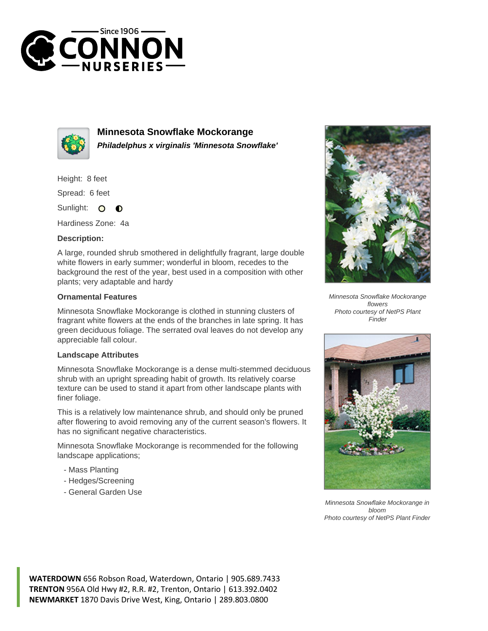



**Minnesota Snowflake Mockorange Philadelphus x virginalis 'Minnesota Snowflake'**

Height: 8 feet

Spread: 6 feet

Sunlight: 0  $\bullet$ 

Hardiness Zone: 4a

## **Description:**

A large, rounded shrub smothered in delightfully fragrant, large double white flowers in early summer; wonderful in bloom, recedes to the background the rest of the year, best used in a composition with other plants; very adaptable and hardy

## **Ornamental Features**

Minnesota Snowflake Mockorange is clothed in stunning clusters of fragrant white flowers at the ends of the branches in late spring. It has green deciduous foliage. The serrated oval leaves do not develop any appreciable fall colour.

## **Landscape Attributes**

Minnesota Snowflake Mockorange is a dense multi-stemmed deciduous shrub with an upright spreading habit of growth. Its relatively coarse texture can be used to stand it apart from other landscape plants with finer foliage.

This is a relatively low maintenance shrub, and should only be pruned after flowering to avoid removing any of the current season's flowers. It has no significant negative characteristics.

Minnesota Snowflake Mockorange is recommended for the following landscape applications;

- Mass Planting
- Hedges/Screening
- General Garden Use



Minnesota Snowflake Mockorange flowers Photo courtesy of NetPS Plant Finder



Minnesota Snowflake Mockorange in bloom Photo courtesy of NetPS Plant Finder